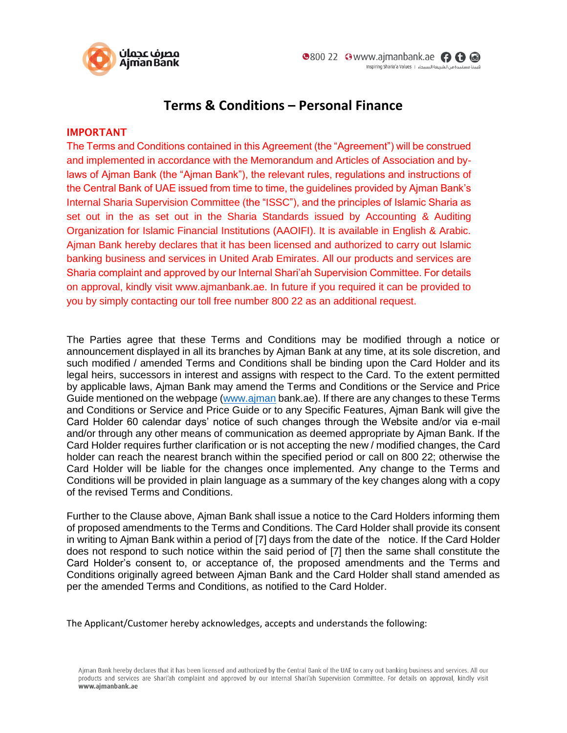

## **Terms & Conditions – Personal Finance**

## **IMPORTANT**

The Terms and Conditions contained in this Agreement (the "Agreement") will be construed and implemented in accordance with the Memorandum and Articles of Association and bylaws of Ajman Bank (the "Ajman Bank"), the relevant rules, regulations and instructions of the Central Bank of UAE issued from time to time, the guidelines provided by Ajman Bank's Internal Sharia Supervision Committee (the "ISSC"), and the principles of Islamic Sharia as set out in the as set out in the Sharia Standards issued by Accounting & Auditing Organization for Islamic Financial Institutions (AAOIFI). It is available in English & Arabic. Ajman Bank hereby declares that it has been licensed and authorized to carry out Islamic banking business and services in United Arab Emirates. All our products and services are Sharia complaint and approved by our Internal Shari'ah Supervision Committee. For details on approval, kindly visit [www.ajmanbank.ae.](http://www.ajmanbank.ae/) In future if you required it can be provided to you by simply contacting our toll free number 800 22 as an additional request.

The Parties agree that these Terms and Conditions may be modified through a notice or announcement displayed in all its branches by Ajman Bank at any time, at its sole discretion, and such modified / amended Terms and Conditions shall be binding upon the Card Holder and its legal heirs, successors in interest and assigns with respect to the Card. To the extent permitted by applicable laws, Ajman Bank may amend the Terms and Conditions or the Service and Price Guide mentioned on the webpage [\(www.ajman](http://www.ajman/) bank.ae). If there are any changes to these Terms and Conditions or Service and Price Guide or to any Specific Features, Ajman Bank will give the Card Holder 60 calendar days' notice of such changes through the Website and/or via e-mail and/or through any other means of communication as deemed appropriate by Ajman Bank. If the Card Holder requires further clarification or is not accepting the new / modified changes, the Card holder can reach the nearest branch within the specified period or call on 800 22; otherwise the Card Holder will be liable for the changes once implemented. Any change to the Terms and Conditions will be provided in plain language as a summary of the key changes along with a copy of the revised Terms and Conditions.

Further to the Clause above, Ajman Bank shall issue a notice to the Card Holders informing them of proposed amendments to the Terms and Conditions. The Card Holder shall provide its consent in writing to Ajman Bank within a period of [7] days from the date of the notice. If the Card Holder does not respond to such notice within the said period of [7] then the same shall constitute the Card Holder's consent to, or acceptance of, the proposed amendments and the Terms and Conditions originally agreed between Ajman Bank and the Card Holder shall stand amended as per the amended Terms and Conditions, as notified to the Card Holder.

The Applicant/Customer hereby acknowledges, accepts and understands the following:

Aiman Bank hereby declares that it has been licensed and authorized by the Central Bank of the UAE to carry out banking business and services. All our products and services are Shari'ah complaint and approved by our Internal Shari'ah Supervision Committee. For details on approval, kindly visit www.ajmanbank.ae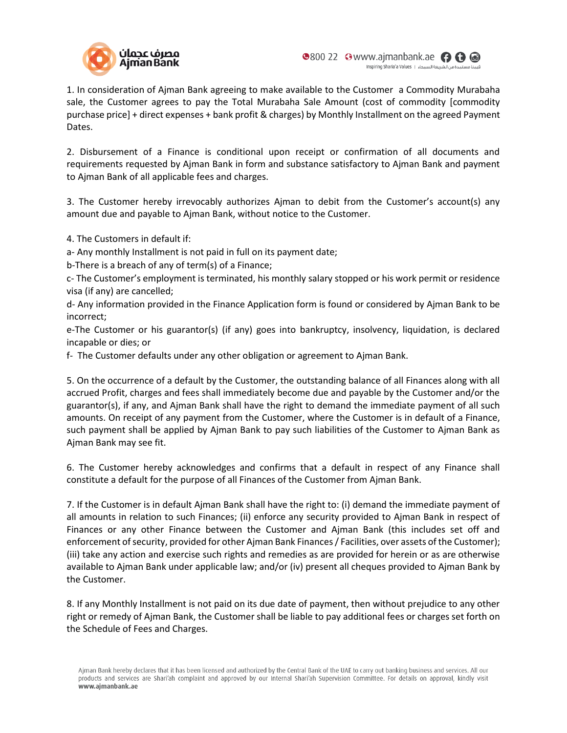

1. In consideration of Ajman Bank agreeing to make available to the Customer a Commodity Murabaha sale, the Customer agrees to pay the Total Murabaha Sale Amount (cost of commodity [commodity purchase price] + direct expenses + bank profit & charges) by Monthly Installment on the agreed Payment Dates.

2. Disbursement of a Finance is conditional upon receipt or confirmation of all documents and requirements requested by Ajman Bank in form and substance satisfactory to Ajman Bank and payment to Ajman Bank of all applicable fees and charges.

3. The Customer hereby irrevocably authorizes Ajman to debit from the Customer's account(s) any amount due and payable to Ajman Bank, without notice to the Customer.

4. The Customers in default if:

a- Any monthly Installment is not paid in full on its payment date;

b-There is a breach of any of term(s) of a Finance;

c- The Customer's employment is terminated, his monthly salary stopped or his work permit or residence visa (if any) are cancelled;

d- Any information provided in the Finance Application form is found or considered by Ajman Bank to be incorrect;

e-The Customer or his guarantor(s) (if any) goes into bankruptcy, insolvency, liquidation, is declared incapable or dies; or

f- The Customer defaults under any other obligation or agreement to Ajman Bank.

5. On the occurrence of a default by the Customer, the outstanding balance of all Finances along with all accrued Profit, charges and fees shall immediately become due and payable by the Customer and/or the guarantor(s), if any, and Ajman Bank shall have the right to demand the immediate payment of all such amounts. On receipt of any payment from the Customer, where the Customer is in default of a Finance, such payment shall be applied by Ajman Bank to pay such liabilities of the Customer to Ajman Bank as Ajman Bank may see fit.

6. The Customer hereby acknowledges and confirms that a default in respect of any Finance shall constitute a default for the purpose of all Finances of the Customer from Ajman Bank.

7. If the Customer is in default Ajman Bank shall have the right to: (i) demand the immediate payment of all amounts in relation to such Finances; (ii) enforce any security provided to Ajman Bank in respect of Finances or any other Finance between the Customer and Ajman Bank (this includes set off and enforcement of security, provided for other Ajman Bank Finances / Facilities, over assets of the Customer); (iii) take any action and exercise such rights and remedies as are provided for herein or as are otherwise available to Ajman Bank under applicable law; and/or (iv) present all cheques provided to Ajman Bank by the Customer.

8. If any Monthly Installment is not paid on its due date of payment, then without prejudice to any other right or remedy of Ajman Bank, the Customer shall be liable to pay additional fees or charges set forth on the Schedule of Fees and Charges.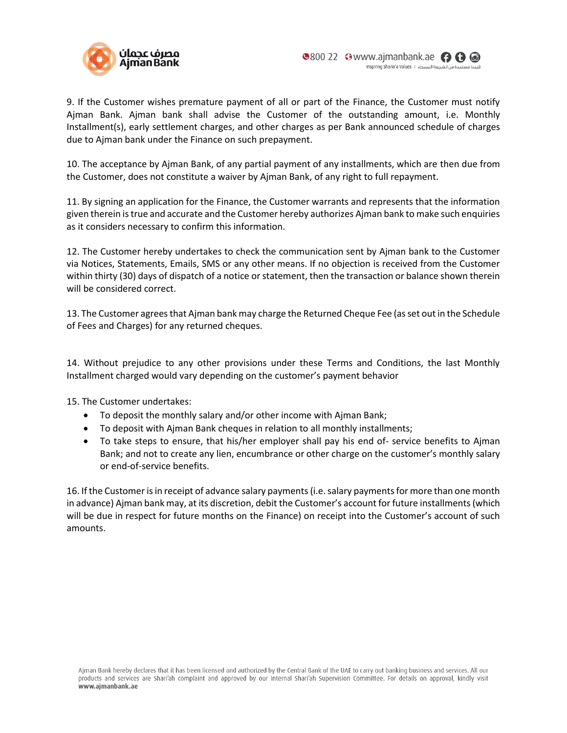

9. If the Customer wishes premature payment of all or part of the Finance, the Customer must notify Ajman Bank. Ajman bank shall advise the Customer of the outstanding amount, i.e. Monthly Installment(s), early settlement charges, and other charges as per Bank announced schedule of charges due to Ajman bank under the Finance on such prepayment.

10. The acceptance by Ajman Bank, of any partial payment of any installments, which are then due from the Customer, does not constitute a waiver by Ajman Bank, of any right to full repayment.

11. By signing an application for the Finance, the Customer warrants and represents that the information given therein is true and accurate and the Customer hereby authorizes Ajman bank to make such enquiries as it considers necessary to confirm this information.

12. The Customer hereby undertakes to check the communication sent by Ajman bank to the Customer via Notices, Statements, Emails, SMS or any other means. If no objection is received from the Customer within thirty (30) days of dispatch of a notice or statement, then the transaction or balance shown therein will be considered correct.

13. The Customer agrees that Ajman bank may charge the Returned Cheque Fee (as set out in the Schedule of Fees and Charges) for any returned cheques.

14. Without prejudice to any other provisions under these Terms and Conditions, the last Monthly Installment charged would vary depending on the customer's payment behavior

15. The Customer undertakes:

- To deposit the monthly salary and/or other income with Ajman Bank;
- To deposit with Ajman Bank cheques in relation to all monthly installments;
- To take steps to ensure, that his/her employer shall pay his end of- service benefits to Ajman Bank; and not to create any lien, encumbrance or other charge on the customer's monthly salary or end-of-service benefits.

16. If the Customer is in receipt of advance salary payments (i.e. salary payments for more than one month in advance) Ajman bank may, at its discretion, debit the Customer's account for future installments (which will be due in respect for future months on the Finance) on receipt into the Customer's account of such amounts.